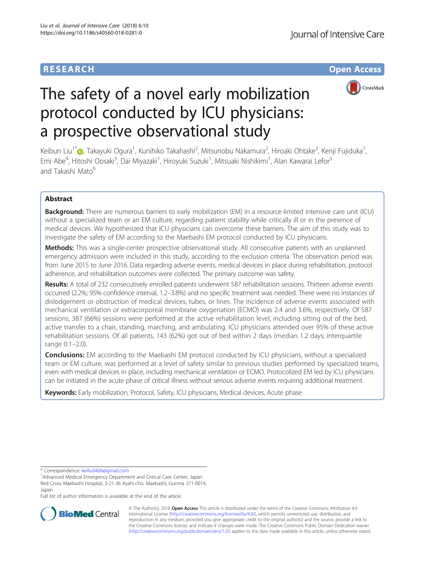# **RESEARCH CHE Open Access**



# The safety of a novel early mobilization protocol conducted by ICU physicians: a prospective observational study

Keibun Liu<sup>1\*</sup>�[,](http://orcid.org/0000-0002-6867-1420) Takayuki Ogura<sup>1</sup>, Kunihiko Takahashi<sup>2</sup>, Mitsunobu Nakamura<sup>2</sup>, Hiroaki Ohtake<sup>3</sup>, Kenji Fujiduka<sup>1</sup> , Emi Abe<sup>4</sup>, Hitoshi Oosaki<sup>3</sup>, Dai Miyazaki<sup>1</sup>, Hiroyuki Suzuki<sup>1</sup>, Mitsuaki Nishikimi<sup>1</sup>, Alan Kawarai Lefor<sup>5</sup> and Takashi Mato<sup>6</sup>

# Abstract

**Background:** There are numerous barriers to early mobilization (EM) in a resource-limited intensive care unit (ICU) without a specialized team or an EM culture, regarding patient stability while critically ill or in the presence of medical devices. We hypothesized that ICU physicians can overcome these barriers. The aim of this study was to investigate the safety of EM according to the Maebashi EM protocol conducted by ICU physicians.

Methods: This was a single-center prospective observational study. All consecutive patients with an unplanned emergency admission were included in this study, according to the exclusion criteria. The observation period was from June 2015 to June 2016. Data regarding adverse events, medical devices in place during rehabilitation, protocol adherence, and rehabilitation outcomes were collected. The primary outcome was safety.

Results: A total of 232 consecutively enrolled patients underwent 587 rehabilitation sessions. Thirteen adverse events occurred (2.2%; 95% confidence interval, 1.2–3.8%) and no specific treatment was needed. There were no instances of dislodgement or obstruction of medical devices, tubes, or lines. The incidence of adverse events associated with mechanical ventilation or extracorporeal membrane oxygenation (ECMO) was 2.4 and 3.6%, respectively. Of 587 sessions, 387 (66%) sessions were performed at the active rehabilitation level, including sitting out of the bed, active transfer to a chair, standing, marching, and ambulating. ICU physicians attended over 95% of these active rehabilitation sessions. Of all patients, 143 (62%) got out of bed within 2 days (median 1.2 days; interquartile range 0.1–2.0).

**Conclusions:** EM according to the Maebashi EM protocol conducted by ICU physicians, without a specialized team or EM culture, was performed at a level of safety similar to previous studies performed by specialized teams, even with medical devices in place, including mechanical ventilation or ECMO. Protocolized EM led by ICU physicians can be initiated in the acute phase of critical illness without serious adverse events requiring additional treatment.

Keywords: Early mobilization, Protocol, Safety, ICU physicians, Medical devices, Acute phase

\* Correspondence: [keiliu0406@gmail.com](mailto:keiliu0406@gmail.com) <sup>1</sup>

<sup>1</sup> Advanced Medical Emergency Department and Critical Care Center, Japan Red Cross Maebashi Hospital, 3-21-36 Asahi-cho, Maebashi, Gunma 371-0014, Japan

Full list of author information is available at the end of the article



© The Author(s). 2018 Open Access This article is distributed under the terms of the Creative Commons Attribution 4.0 International License [\(http://creativecommons.org/licenses/by/4.0/](http://creativecommons.org/licenses/by/4.0/)), which permits unrestricted use, distribution, and reproduction in any medium, provided you give appropriate credit to the original author(s) and the source, provide a link to the Creative Commons license, and indicate if changes were made. The Creative Commons Public Domain Dedication waiver [\(http://creativecommons.org/publicdomain/zero/1.0/](http://creativecommons.org/publicdomain/zero/1.0/)) applies to the data made available in this article, unless otherwise stated.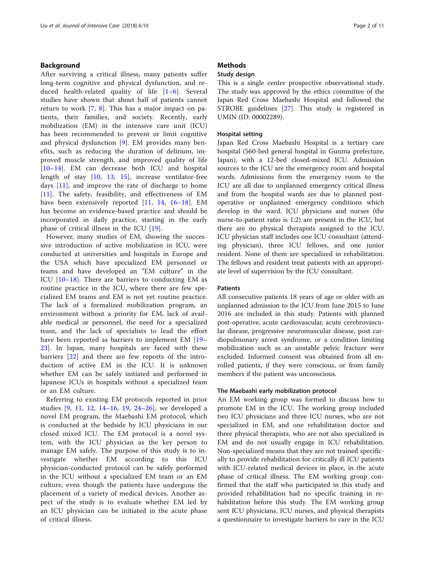# Background

After surviving a critical illness, many patients suffer long-term cognitive and physical dysfunction, and reduced health-related quality of life  $[1-6]$  $[1-6]$  $[1-6]$  $[1-6]$ . Several studies have shown that about half of patients cannot return to work [\[7](#page-9-0), [8\]](#page-9-0). This has a major impact on patients, their families, and society. Recently, early mobilization (EM) in the intensive care unit (ICU) has been recommended to prevent or limit cognitive and physical dysfunction [[9\]](#page-9-0). EM provides many benefits, such as reducing the duration of delirium, improved muscle strength, and improved quality of life [[10](#page-9-0)–[14\]](#page-9-0). EM can decrease both ICU and hospital length of stay [[10,](#page-9-0) [13,](#page-9-0) [15\]](#page-9-0), increase ventilator-free days [\[11](#page-9-0)], and improve the rate of discharge to home [[11\]](#page-9-0). The safety, feasibility, and effectiveness of EM have been extensively reported [\[11](#page-9-0), [14](#page-9-0), [16](#page-9-0)-[18](#page-10-0)]. EM has become an evidence-based practice and should be incorporated in daily practice, starting in the early phase of critical illness in the ICU [\[19](#page-10-0)].

However, many studies of EM, showing the successive introduction of active mobilization in ICU, were conducted at universities and hospitals in Europe and the USA which have specialized EM personnel or teams and have developed an "EM culture" in the ICU [[10](#page-9-0)–[18\]](#page-10-0). There are barriers to conducting EM as routine practice in the ICU, where there are few specialized EM teams and EM is not yet routine practice. The lack of a formalized mobilization program, an environment without a priority for EM, lack of available medical or personnel, the need for a specialized team, and the lack of specialists to lead the effort have been reported as barriers to implement EM [[19](#page-10-0)– [23\]](#page-10-0). In Japan, many hospitals are faced with these barriers [\[22](#page-10-0)] and there are few reports of the introduction of active EM in the ICU. It is unknown whether EM can be safely initiated and performed in Japanese ICUs in hospitals without a specialized team or an EM culture.

Referring to existing EM protocols reported in prior studies [\[9](#page-9-0), [11,](#page-9-0) [12,](#page-9-0) [14](#page-9-0)–[16](#page-9-0), [19](#page-10-0), [24](#page-10-0)–[26\]](#page-10-0), we developed a novel EM program, the Maebashi EM protocol, which is conducted at the bedside by ICU physicians in our closed mixed ICU. The EM protocol is a novel system, with the ICU physician as the key person to manage EM safely. The purpose of this study is to investigate whether EM according to this ICU physician-conducted protocol can be safely performed in the ICU without a specialized EM team or an EM culture, even though the patients have undergone the placement of a variety of medical devices. Another aspect of the study is to evaluate whether EM led by an ICU physician can be initiated in the acute phase of critical illness.

# **Methods**

# Study design

This is a single center prospective observational study. The study was approved by the ethics committee of the Japan Red Cross Maebashi Hospital and followed the STROBE guidelines [[27\]](#page-10-0). This study is registered in UMIN (ID: 00002289).

# Hospital setting

Japan Red Cross Maebashi Hospital is a tertiary care hospital (560-bed general hospital in Gunma prefecture, Japan), with a 12-bed closed-mixed ICU. Admission sources to the ICU are the emergency room and hospital wards. Admissions from the emergency room to the ICU are all due to unplanned emergency critical illness and from the hospital wards are due to planned postoperative or unplanned emergency conditions which develop in the ward. ICU physicians and nurses (the nurse-to-patient ratio is 1:2) are present in the ICU, but there are no physical therapists assigned to the ICU. ICU physician staff includes one ICU consultant (attending physician), three ICU fellows, and one junior resident. None of them are specialized in rehabilitation. The fellows and resident treat patients with an appropriate level of supervision by the ICU consultant.

# **Patients**

All consecutive patients 18 years of age or older with an unplanned admission to the ICU from June 2015 to June 2016 are included in this study. Patients with planned post-operative, acute cardiovascular, acute cerebrovascular disease, progressive neuromuscular disease, post cardiopulmonary arrest syndrome, or a condition limiting mobilization such as an unstable pelvic fracture were excluded. Informed consent was obtained from all enrolled patients, if they were conscious, or from family members if the patient was unconscious.

# The Maebashi early mobilization protocol

An EM working group was formed to discuss how to promote EM in the ICU. The working group included two ICU physicians and three ICU nurses, who are not specialized in EM, and one rehabilitation doctor and three physical therapists, who are not also specialized in EM and do not usually engage in ICU rehabilitation. Non-specialized means that they are not trained specifically to provide rehabilitation for critically ill ICU patients with ICU-related medical devices in place, in the acute phase of critical illness. The EM working group confirmed that the staff who participated in this study and provided rehabilitation had no specific training in rehabilitation before this study. The EM working group sent ICU physicians, ICU nurses, and physical therapists a questionnaire to investigate barriers to care in the ICU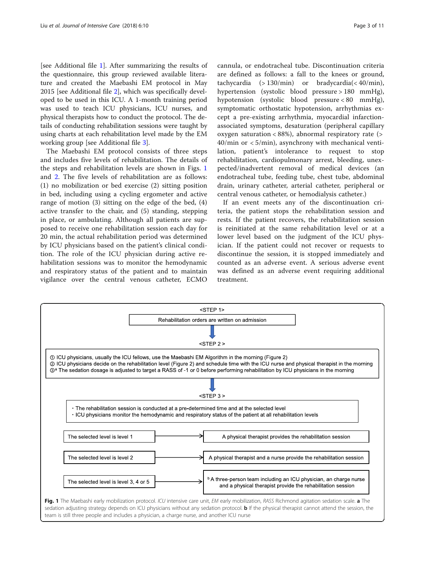[see Additional file [1](#page-9-0)]. After summarizing the results of the questionnaire, this group reviewed available literature and created the Maebashi EM protocol in May 2015 [see Additional file [2\]](#page-9-0), which was specifically developed to be used in this ICU. A 1-month training period was used to teach ICU physicians, ICU nurses, and physical therapists how to conduct the protocol. The details of conducting rehabilitation sessions were taught by using charts at each rehabilitation level made by the EM working group [see Additional file [3\]](#page-9-0).

The Maebashi EM protocol consists of three steps and includes five levels of rehabilitation. The details of the steps and rehabilitation levels are shown in Figs. 1 and [2.](#page-3-0) The five levels of rehabilitation are as follows: (1) no mobilization or bed exercise (2) sitting position in bed, including using a cycling ergometer and active range of motion (3) sitting on the edge of the bed, (4) active transfer to the chair, and (5) standing, stepping in place, or ambulating. Although all patients are supposed to receive one rehabilitation session each day for 20 min, the actual rehabilitation period was determined by ICU physicians based on the patient's clinical condition. The role of the ICU physician during active rehabilitation sessions was to monitor the hemodynamic and respiratory status of the patient and to maintain vigilance over the central venous catheter, ECMO

cannula, or endotracheal tube. Discontinuation criteria are defined as follows: a fall to the knees or ground, tachycardia (> 130/min) or bradycardia(< 40/min), hypertension (systolic blood pressure > 180 mmHg), hypotension (systolic blood pressure < 80 mmHg), symptomatic orthostatic hypotension, arrhythmias except a pre-existing arrhythmia, myocardial infarctionassociated symptoms, desaturation (peripheral capillary oxygen saturation < 88%), abnormal respiratory rate (> 40/min or < 5/min), asynchrony with mechanical ventilation, patient's intolerance to request to stop rehabilitation, cardiopulmonary arrest, bleeding, unexpected/inadvertent removal of medical devices (an endotracheal tube, feeding tube, chest tube, abdominal drain, urinary catheter, arterial catheter, peripheral or central venous catheter, or hemodialysis catheter.)

If an event meets any of the discontinuation criteria, the patient stops the rehabilitation session and rests. If the patient recovers, the rehabilitation session is reinitiated at the same rehabilitation level or at a lower level based on the judgment of the ICU physician. If the patient could not recover or requests to discontinue the session, it is stopped immediately and counted as an adverse event. A serious adverse event was defined as an adverse event requiring additional treatment.

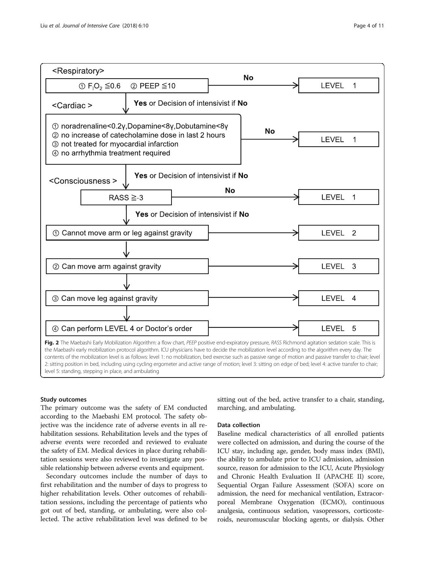<span id="page-3-0"></span>

# Study outcomes

The primary outcome was the safety of EM conducted according to the Maebashi EM protocol. The safety objective was the incidence rate of adverse events in all rehabilitation sessions. Rehabilitation levels and the types of adverse events were recorded and reviewed to evaluate the safety of EM. Medical devices in place during rehabilitation sessions were also reviewed to investigate any possible relationship between adverse events and equipment.

Secondary outcomes include the number of days to first rehabilitation and the number of days to progress to higher rehabilitation levels. Other outcomes of rehabilitation sessions, including the percentage of patients who got out of bed, standing, or ambulating, were also collected. The active rehabilitation level was defined to be sitting out of the bed, active transfer to a chair, standing, marching, and ambulating.

# Data collection

Baseline medical characteristics of all enrolled patients were collected on admission, and during the course of the ICU stay, including age, gender, body mass index (BMI), the ability to ambulate prior to ICU admission, admission source, reason for admission to the ICU, Acute Physiology and Chronic Health Evaluation II (APACHE II) score, Sequential Organ Failure Assessment (SOFA) score on admission, the need for mechanical ventilation, Extracorporeal Membrane Oxygenation (ECMO), continuous analgesia, continuous sedation, vasopressors, corticosteroids, neuromuscular blocking agents, or dialysis. Other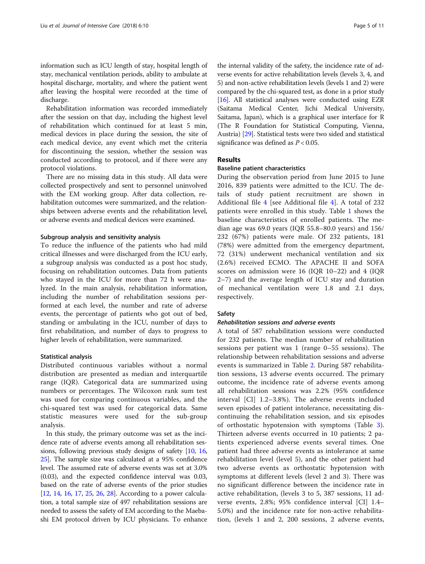information such as ICU length of stay, hospital length of stay, mechanical ventilation periods, ability to ambulate at hospital discharge, mortality, and where the patient went after leaving the hospital were recorded at the time of discharge.

Rehabilitation information was recorded immediately after the session on that day, including the highest level of rehabilitation which continued for at least 5 min, medical devices in place during the session, the site of each medical device, any event which met the criteria for discontinuing the session, whether the session was conducted according to protocol, and if there were any protocol violations.

There are no missing data in this study. All data were collected prospectively and sent to personnel uninvolved with the EM working group. After data collection, rehabilitation outcomes were summarized, and the relationships between adverse events and the rehabilitation level, or adverse events and medical devices were examined.

# Subgroup analysis and sensitivity analysis

To reduce the influence of the patients who had mild critical illnesses and were discharged from the ICU early, a subgroup analysis was conducted as a post hoc study, focusing on rehabilitation outcomes. Data from patients who stayed in the ICU for more than 72 h were analyzed. In the main analysis, rehabilitation information, including the number of rehabilitation sessions performed at each level, the number and rate of adverse events, the percentage of patients who got out of bed, standing or ambulating in the ICU, number of days to first rehabilitation, and number of days to progress to higher levels of rehabilitation, were summarized.

#### Statistical analysis

Distributed continuous variables without a normal distribution are presented as median and interquartile range (IQR). Categorical data are summarized using numbers or percentages. The Wilcoxon rank sum test was used for comparing continuous variables, and the chi-squared test was used for categorical data. Same statistic measures were used for the sub-group analysis.

In this study, the primary outcome was set as the incidence rate of adverse events among all rehabilitation sessions, following previous study designs of safety [[10,](#page-9-0) [16](#page-9-0), [25](#page-10-0)]. The sample size was calculated at a 95% confidence level. The assumed rate of adverse events was set at 3.0% (0.03), and the expected confidence interval was 0.03, based on the rate of adverse events of the prior studies [[12](#page-9-0), [14](#page-9-0), [16](#page-9-0), [17](#page-10-0), [25](#page-10-0), [26](#page-10-0), [28](#page-10-0)]. According to a power calculation, a total sample size of 497 rehabilitation sessions are needed to assess the safety of EM according to the Maebashi EM protocol driven by ICU physicians. To enhance

the internal validity of the safety, the incidence rate of adverse events for active rehabilitation levels (levels 3, 4, and 5) and non-active rehabilitation levels (levels 1 and 2) were compared by the chi-squared test, as done in a prior study [[16](#page-9-0)]. All statistical analyses were conducted using EZR (Saitama Medical Center, Jichi Medical University, Saitama, Japan), which is a graphical user interface for R (The R Foundation for Statistical Computing, Vienna, Austria) [[29](#page-10-0)]. Statistical tests were two sided and statistical significance was defined as  $P < 0.05$ .

# Results

# Baseline patient characteristics

During the observation period from June 2015 to June 2016, 839 patients were admitted to the ICU. The details of study patient recruitment are shown in Additional file [4](#page-9-0) [see Additional file [4](#page-9-0)]. A total of 232 patients were enrolled in this study. Table [1](#page-5-0) shows the baseline characteristics of enrolled patients. The median age was  $69.0$  years (IQR  $55.8-80.0$  years) and  $156/$ 232 (67%) patients were male. Of 232 patients, 181 (78%) were admitted from the emergency department, 72 (31%) underwent mechanical ventilation and six (2.6%) received ECMO. The APACHE II and SOFA scores on admission were 16 (IQR 10–22) and 4 (IQR 2–7) and the average length of ICU stay and duration of mechanical ventilation were 1.8 and 2.1 days, respectively.

# Safety

# Rehabilitation sessions and adverse events

A total of 587 rehabilitation sessions were conducted for 232 patients. The median number of rehabilitation sessions per patient was 1 (range 0–55 sessions). The relationship between rehabilitation sessions and adverse events is summarized in Table [2.](#page-5-0) During 587 rehabilitation sessions, 13 adverse events occurred. The primary outcome, the incidence rate of adverse events among all rehabilitation sessions was 2.2% (95% confidence interval [CI] 1.2–3.8%). The adverse events included seven episodes of patient intolerance, necessitating discontinuing the rehabilitation session, and six episodes of orthostatic hypotension with symptoms (Table [3](#page-5-0)). Thirteen adverse events occurred in 10 patients; 2 patients experienced adverse events several times. One patient had three adverse events as intolerance at same rehabilitation level (level 5), and the other patient had two adverse events as orthostatic hypotension with symptoms at different levels (level 2 and 3). There was no significant difference between the incidence rate in active rehabilitation, (levels 3 to 5, 387 sessions, 11 adverse events, 2.8%; 95% confidence interval [CI] 1.4– 5.0%) and the incidence rate for non-active rehabilitation, (levels 1 and 2, 200 sessions, 2 adverse events,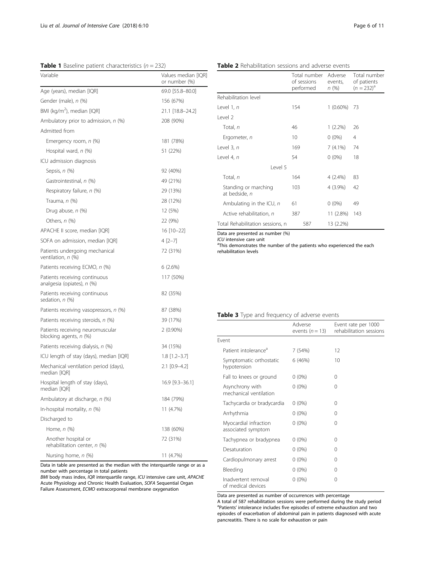# <span id="page-5-0"></span>**Table 1** Baseline patient characteristics ( $n = 232$ )

| Variable                                                    | Values median [IQR]<br>or number (%) |
|-------------------------------------------------------------|--------------------------------------|
| Age (years), median [IQR]                                   | 69.0 [55.8-80.0]                     |
| Gender (male), n (%)                                        | 156 (67%)                            |
| BMI (kg/m <sup>2</sup> ), median [IQR]                      | 21.1 [18.8-24.2]                     |
| Ambulatory prior to admission, n (%)                        | 208 (90%)                            |
| Admitted from                                               |                                      |
| Emergency room, n (%)                                       | 181 (78%)                            |
| Hospital ward, n (%)                                        | 51 (22%)                             |
| ICU admission diagnosis                                     |                                      |
| Sepsis, n (%)                                               | 92 (40%)                             |
| Gastrointestinal, n (%)                                     | 49 (21%)                             |
| Respiratory failure, n (%)                                  | 29 (13%)                             |
| Trauma, n (%)                                               | 28 (12%)                             |
| Drug abuse, n (%)                                           | 12 (5%)                              |
| Others, n (%)                                               | 22 (9%)                              |
| APACHE II score, median [IQR]                               | 16 [10-22]                           |
| SOFA on admission, median [IQR]                             | 4 [2-7]                              |
| Patients undergoing mechanical<br>ventilation, n (%)        | 72 (31%)                             |
| Patients receiving ECMO, n (%)                              | 6(2.6%)                              |
| Patients receiving continuous<br>analgesia (opiates), n (%) | 117 (50%)                            |
| Patients receiving continuous<br>sedation, n (%)            | 82 (35%)                             |
| Patients receiving vasopressors, n (%)                      | 87 (38%)                             |
| Patients receiving steroids, n (%)                          | 39 (17%)                             |
| Patients receiving neuromuscular<br>blocking agents, n (%)  | $2(0.90\%)$                          |
| Patients receiving dialysis, n (%)                          | 34 (15%)                             |
| ICU length of stay (days), median [IQR]                     | 1.8 [1.2–3.7]                        |
| Mechanical ventilation period (days),<br>median [IQR]       | 2.1 [0.9-4.2]                        |
| Hospital length of stay (days),<br>median [IQR]             | 16.9 [9.3-36.1]                      |
| Ambulatory at discharge, n (%)                              | 184 (79%)                            |
| In-hospital mortality, $n$ (%)                              | 11 (4.7%)                            |
| Discharged to                                               |                                      |
| Home, <i>n</i> (%)                                          | 138 (60%)                            |
| Another hospital or<br>rehabilitation center, n (%)         | 72 (31%)                             |
| Nursing home, n (%)                                         | 11 (4.7%)                            |

Data in table are presented as the median with the interquartile range or as a number with percentage in total patients

BMI body mass index, IQR interquartile range, ICU intensive care unit, APACHE Acute Physiology and Chronic Health Evaluation, SOFA Sequential Organ Failure Assessment, ECMO extracorporeal membrane oxygenation

# of sessions performed events, n (%) of patients  $(n = 232)^{a}$ Rehabilitation level Level 1, *n* 154 1 (0.60%) 73 Level 2 Total, *n* 46 1 (2.2%) 26 Ergometer,  $n = 10$  0 (0%) 4 Level 3, n 169 7 (4.1%) 74 Level 4, n 54 0 (0%) 18 Level 5 Total, n 164 4 (2.4%) 83 Standing or marching at bedside, n 103 4 (3.9%) 42 Ambulating in the ICU,  $n = 61$  0 (0%) 49 Active rehabilitation,  $n = 387$  11 (2.8%) 143

Table 2 Rehabilitation sessions and adverse events

Total number

Adverse

Total Rehabilitation sessions, n 587 13 (2.2%)

Data are presented as number (%)

 $ICU$  intensive care unit

<sup>a</sup>This demonstrates the number of the patients who experienced the each rehabilitation levels

# Table 3 Type and frequency of adverse events

|                                             | Adverse<br>events $(n = 13)$ | Event rate per 1000<br>rehabilitation sessions |
|---------------------------------------------|------------------------------|------------------------------------------------|
| Fvent                                       |                              |                                                |
| Patient intolerance <sup>a</sup>            | 7(54%)                       | 12                                             |
| Symptomatic orthostatic<br>hypotension      | 6 (46%)                      | 10                                             |
| Fall to knees or ground                     | $0(0\%)$                     | 0                                              |
| Asynchrony with<br>mechanical ventilation   | $0(0\%)$                     | 0                                              |
| Tachycardia or bradycardia                  | $0(0\%)$                     | 0                                              |
| Arrhythmia                                  | $0(0\%)$                     | 0                                              |
| Myocardial infraction<br>associated symptom | $0(0\%)$                     | $\Omega$                                       |
| Tachypnea or bradypnea                      | $0(0\%)$                     | 0                                              |
| Desaturation                                | $0(0\%)$                     | 0                                              |
| Cardiopulmonary arrest                      | $0(0\%)$                     | 0                                              |
| Bleeding                                    | $0(0\%)$                     | 0                                              |
| Inadvertent removal<br>of medical devices   | $0(0\%)$                     | 0                                              |

Data are presented as number of occurrences with percentage

A total of 587 rehabilitation sessions were performed during the study period <sup>a</sup>Patients' intolerance includes five episodes of extreme exhaustion and two episodes of exacerbation of abdominal pain in patients diagnosed with acute pancreatitis. There is no scale for exhaustion or pain

Total number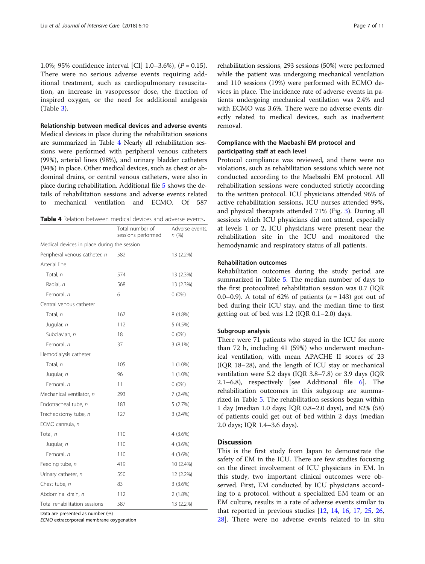1.0%; 95% confidence interval [CI] 1.0–3.6%), (P = 0.15). There were no serious adverse events requiring additional treatment, such as cardiopulmonary resuscitation, an increase in vasopressor dose, the fraction of inspired oxygen, or the need for additional analgesia (Table [3\)](#page-5-0).

Relationship between medical devices and adverse events Medical devices in place during the rehabilitation sessions are summarized in Table 4 Nearly all rehabilitation sessions were performed with peripheral venous catheters (99%), arterial lines (98%), and urinary bladder catheters (94%) in place. Other medical devices, such as chest or abdominal drains, or central venous catheters, were also in place during rehabilitation. Additional file [5](#page-9-0) shows the details of rehabilitation sessions and adverse events related to mechanical ventilation and ECMO. Of 587

Table 4 Relation between medical devices and adverse events.

|                                             | Total number of<br>sessions performed | Adverse events<br>n(%) |
|---------------------------------------------|---------------------------------------|------------------------|
| Medical devices in place during the session |                                       |                        |
| Peripheral venous catheter, n               | 582                                   | 13 (2.2%)              |
| Arterial line                               |                                       |                        |
| Total, n                                    | 574                                   | 13 (2.3%)              |
| Radial, n                                   | 568                                   | 13 (2.3%)              |
| Femoral, n                                  | 6                                     | $0(0\%)$               |
| Central venous catheter                     |                                       |                        |
| Total, n                                    | 167                                   | 8 (4.8%)               |
| Jugular, n                                  | 112                                   | 5(4.5%)                |
| Subclavian, n                               | 18                                    | $0(0\%)$               |
| Femoral, n                                  | 37                                    | $3(8.1\%)$             |
| Hemodialysis catheter                       |                                       |                        |
| Total, n                                    | 105                                   | $1(1.0\%)$             |
| Jugular, n                                  | 96                                    | $1(1.0\%)$             |
| Femoral, n                                  | 11                                    | $0(0\%)$               |
| Mechanical ventilator, n                    | 293                                   | $7(2.4\%)$             |
| Endotracheal tube, n                        | 183                                   | 5(2.7%)                |
| Tracheostomy tube, n                        | 127                                   | 3(2.4%)                |
| ECMO cannula, n                             |                                       |                        |
| Total, n                                    | 110                                   | $4(3.6\%)$             |
| Jugular, n                                  | 110                                   | $4(3.6\%)$             |
| Femoral, n                                  | 110                                   | $4(3.6\%)$             |
| Feeding tube, n                             | 419                                   | 10 (2.4%)              |
| Urinary catheter, n                         | 550                                   | 12 (2.2%)              |
| Chest tube, n                               | 83                                    | 3(3.6%)                |
| Abdominal drain, n                          | 112                                   | 2(1.8%)                |
| Total rehabilitation sessions               | 587                                   | 13 (2.2%)              |

Data are presented as number (%)

ECMO extracorporeal membrane oxygenation

rehabilitation sessions, 293 sessions (50%) were performed while the patient was undergoing mechanical ventilation and 110 sessions (19%) were performed with ECMO devices in place. The incidence rate of adverse events in patients undergoing mechanical ventilation was 2.4% and with ECMO was 3.6%. There were no adverse events directly related to medical devices, such as inadvertent removal.

# Compliance with the Maebashi EM protocol and participating staff at each level

Protocol compliance was reviewed, and there were no violations, such as rehabilitation sessions which were not conducted according to the Maebashi EM protocol. All rehabilitation sessions were conducted strictly according to the written protocol. ICU physicians attended 96% of active rehabilitation sessions, ICU nurses attended 99%, and physical therapists attended 71% (Fig. [3\)](#page-7-0). During all sessions which ICU physicians did not attend, especially at levels 1 or 2, ICU physicians were present near the rehabilitation site in the ICU and monitored the hemodynamic and respiratory status of all patients.

# Rehabilitation outcomes

Rehabilitation outcomes during the study period are summarized in Table [5](#page-7-0). The median number of days to the first protocolized rehabilitation session was 0.7 (IQR 0.0–0.9). A total of 62% of patients  $(n = 143)$  got out of bed during their ICU stay, and the median time to first getting out of bed was 1.2 (IQR 0.1–2.0) days.

## Subgroup analysis

There were 71 patients who stayed in the ICU for more than 72 h, including 41 (59%) who underwent mechanical ventilation, with mean APACHE II scores of 23 (IQR 18–28), and the length of ICU stay or mechanical ventilation were 5.2 days (IQR 3.8–7.8) or 3.9 days (IQR 2.1–6.8), respectively [see Additional file [6](#page-9-0)]. The rehabilitation outcomes in this subgroup are summarized in Table [5.](#page-7-0) The rehabilitation sessions began within 1 day (median 1.0 days; IQR 0.8–2.0 days), and 82% (58) of patients could get out of bed within 2 days (median 2.0 days; IQR 1.4–3.6 days).

# **Discussion**

This is the first study from Japan to demonstrate the safety of EM in the ICU. There are few studies focusing on the direct involvement of ICU physicians in EM. In this study, two important clinical outcomes were observed. First, EM conducted by ICU physicians according to a protocol, without a specialized EM team or an EM culture, results in a rate of adverse events similar to that reported in previous studies [\[12](#page-9-0), [14,](#page-9-0) [16](#page-9-0), [17](#page-10-0), [25,](#page-10-0) [26](#page-10-0), [28\]](#page-10-0). There were no adverse events related to in situ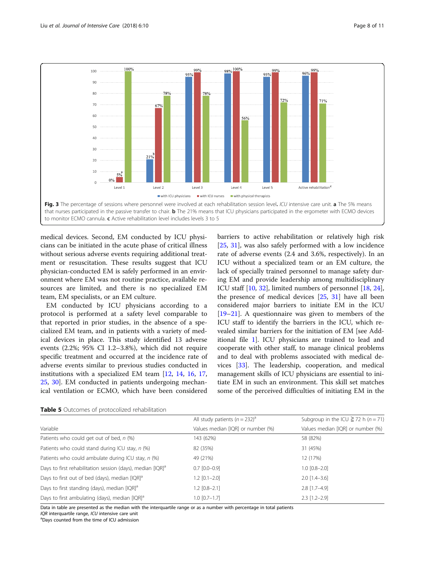<span id="page-7-0"></span>

medical devices. Second, EM conducted by ICU physicians can be initiated in the acute phase of critical illness without serious adverse events requiring additional treatment or resuscitation. These results suggest that ICU physician-conducted EM is safely performed in an environment where EM was not routine practice, available resources are limited, and there is no specialized EM team, EM specialists, or an EM culture.

EM conducted by ICU physicians according to a protocol is performed at a safety level comparable to that reported in prior studies, in the absence of a specialized EM team, and in patients with a variety of medical devices in place. This study identified 13 adverse events (2.2%; 95% CI 1.2–3.8%), which did not require specific treatment and occurred at the incidence rate of adverse events similar to previous studies conducted in institutions with a specialized EM team [[12,](#page-9-0) [14,](#page-9-0) [16](#page-9-0), [17](#page-10-0), [25,](#page-10-0) [30](#page-10-0)]. EM conducted in patients undergoing mechanical ventilation or ECMO, which have been considered barriers to active rehabilitation or relatively high risk [[25,](#page-10-0) [31](#page-10-0)], was also safely performed with a low incidence rate of adverse events (2.4 and 3.6%, respectively). In an ICU without a specialized team or an EM culture, the lack of specially trained personnel to manage safety during EM and provide leadership among multidisciplinary ICU staff [\[10,](#page-9-0) [32\]](#page-10-0), limited numbers of personnel [[18](#page-10-0), [24](#page-10-0)], the presence of medical devices [\[25,](#page-10-0) [31](#page-10-0)] have all been considered major barriers to initiate EM in the ICU [[19](#page-10-0)–[21](#page-10-0)]. A questionnaire was given to members of the ICU staff to identify the barriers in the ICU, which revealed similar barriers for the initiation of EM [see Additional file [1\]](#page-9-0). ICU physicians are trained to lead and cooperate with other staff, to manage clinical problems and to deal with problems associated with medical devices [[33\]](#page-10-0). The leadership, cooperation, and medical management skills of ICU physicians are essential to initiate EM in such an environment. This skill set matches some of the perceived difficulties of initiating EM in the

|  |  |  |  | Table 5 Outcomes of protocolized rehabilitation |
|--|--|--|--|-------------------------------------------------|
|--|--|--|--|-------------------------------------------------|

|                                                                        | All study patients $(n = 232)^a$  | Subgroup in the ICU $\geq$ 72 h (n = 71) |
|------------------------------------------------------------------------|-----------------------------------|------------------------------------------|
| Variable                                                               | Values median [IQR] or number (%) | Values median [IQR] or number (%)        |
| Patients who could get out of bed, n (%)                               | 143 (62%)                         | 58 (82%)                                 |
| Patients who could stand during ICU stay, n (%)                        | 82 (35%)                          | 31 (45%)                                 |
| Patients who could ambulate during ICU stay, n (%)                     | 49 (21%)                          | 12 (17%)                                 |
| Days to first rehabilitation session (days), median [IQR] <sup>a</sup> | $0.7$ $[0.0 - 0.9]$               | $1.0$ $[0.8 - 2.0]$                      |
| Days to first out of bed (days), median [IQR] <sup>a</sup>             | $1.2$ $[0.1 - 2.0]$               | $2.0$ [1.4-3.6]                          |
| Days to first standing (days), median [IQR] <sup>a</sup>               | $1.2$ [0.8-2.1]                   | $2.8$ [1.7-4.9]                          |
| Days to first ambulating (days), median [IQR] <sup>a</sup>             | $1.0$ $[0.7-1.7]$                 | $2.3$ $[1.2 - 2.9]$                      |

Data in table are presented as the median with the interquartile range or as a number with percentage in total patients

 $IOR$  interquartile range,  $ICU$  intensive care unit

Days counted from the time of ICU admission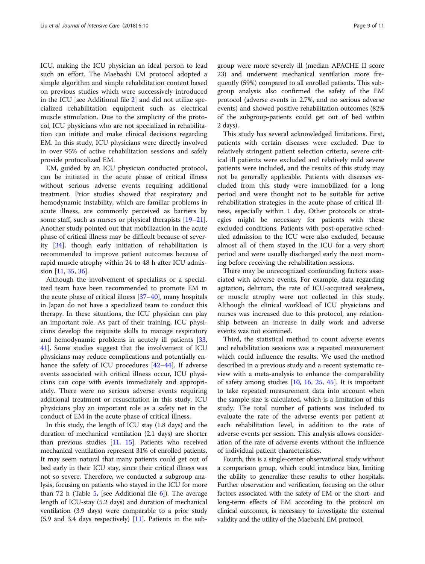ICU, making the ICU physician an ideal person to lead such an effort. The Maebashi EM protocol adopted a simple algorithm and simple rehabilitation content based on previous studies which were successively introduced in the ICU [see Additional file [2\]](#page-9-0) and did not utilize specialized rehabilitation equipment such as electrical muscle stimulation. Due to the simplicity of the protocol, ICU physicians who are not specialized in rehabilitation can initiate and make clinical decisions regarding EM. In this study, ICU physicians were directly involved in over 95% of active rehabilitation sessions and safely provide protocolized EM.

EM, guided by an ICU physician conducted protocol, can be initiated in the acute phase of critical illness without serious adverse events requiring additional treatment. Prior studies showed that respiratory and hemodynamic instability, which are familiar problems in acute illness, are commonly perceived as barriers by some staff, such as nurses or physical therapists [[19](#page-10-0)–[21](#page-10-0)]. Another study pointed out that mobilization in the acute phase of critical illness may be difficult because of severity [\[34](#page-10-0)], though early initiation of rehabilitation is recommended to improve patient outcomes because of rapid muscle atrophy within 24 to 48 h after ICU admission [[11,](#page-9-0) [35](#page-10-0), [36](#page-10-0)].

Although the involvement of specialists or a specialized team have been recommended to promote EM in the acute phase of critical illness [[37](#page-10-0)–[40](#page-10-0)], many hospitals in Japan do not have a specialized team to conduct this therapy. In these situations, the ICU physician can play an important role. As part of their training, ICU physicians develop the requisite skills to manage respiratory and hemodynamic problems in acutely ill patients [[33](#page-10-0), [41\]](#page-10-0). Some studies suggest that the involvement of ICU physicians may reduce complications and potentially enhance the safety of ICU procedures [[42](#page-10-0)–[44](#page-10-0)]. If adverse events associated with critical illness occur, ICU physicians can cope with events immediately and appropriately. There were no serious adverse events requiring additional treatment or resuscitation in this study. ICU physicians play an important role as a safety net in the conduct of EM in the acute phase of critical illness.

In this study, the length of ICU stay (1.8 days) and the duration of mechanical ventilation (2.1 days) are shorter than previous studies [[11](#page-9-0), [15](#page-9-0)]. Patients who received mechanical ventilation represent 31% of enrolled patients. It may seem natural that many patients could get out of bed early in their ICU stay, since their critical illness was not so severe. Therefore, we conducted a subgroup analysis, focusing on patients who stayed in the ICU for more than 72 h (Table [5](#page-7-0), [see Additional file  $6$ ]). The average length of ICU-stay (5.2 days) and duration of mechanical ventilation (3.9 days) were comparable to a prior study  $(5.9 \text{ and } 3.4 \text{ days respectively})$  [\[11\]](#page-9-0). Patients in the subgroup were more severely ill (median APACHE II score 23) and underwent mechanical ventilation more frequently (59%) compared to all enrolled patients. This subgroup analysis also confirmed the safety of the EM protocol (adverse events in 2.7%, and no serious adverse events) and showed positive rehabilitation outcomes (82% of the subgroup-patients could get out of bed within 2 days).

This study has several acknowledged limitations. First, patients with certain diseases were excluded. Due to relatively stringent patient selection criteria, severe critical ill patients were excluded and relatively mild severe patients were included, and the results of this study may not be generally applicable. Patients with diseases excluded from this study were immobilized for a long period and were thought not to be suitable for active rehabilitation strategies in the acute phase of critical illness, especially within 1 day. Other protocols or strategies might be necessary for patients with these excluded conditions. Patients with post-operative scheduled admission to the ICU were also excluded, because almost all of them stayed in the ICU for a very short period and were usually discharged early the next morning before receiving the rehabilitation sessions.

There may be unrecognized confounding factors associated with adverse events. For example, data regarding agitation, delirium, the rate of ICU-acquired weakness, or muscle atrophy were not collected in this study. Although the clinical workload of ICU physicians and nurses was increased due to this protocol, any relationship between an increase in daily work and adverse events was not examined.

Third, the statistical method to count adverse events and rehabilitation sessions was a repeated measurement which could influence the results. We used the method described in a previous study and a recent systematic review with a meta-analysis to enhance the comparability of safety among studies [[10](#page-9-0), [16](#page-9-0), [25](#page-10-0), [45\]](#page-10-0). It is important to take repeated measurement data into account when the sample size is calculated, which is a limitation of this study. The total number of patients was included to evaluate the rate of the adverse events per patient at each rehabilitation level, in addition to the rate of adverse events per session. This analysis allows consideration of the rate of adverse events without the influence of individual patient characteristics.

Fourth, this is a single-center observational study without a comparison group, which could introduce bias, limiting the ability to generalize these results to other hospitals. Further observation and verification, focusing on the other factors associated with the safety of EM or the short- and long-term effects of EM according to the protocol on clinical outcomes, is necessary to investigate the external validity and the utility of the Maebashi EM protocol.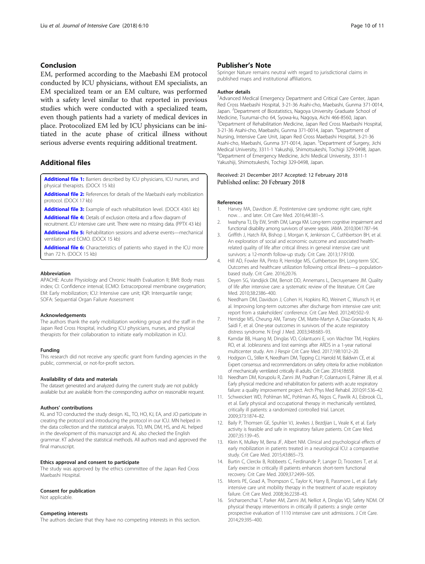# <span id="page-9-0"></span>Conclusion

EM, performed according to the Maebashi EM protocol conducted by ICU physicians, without EM specialists, an EM specialized team or an EM culture, was performed with a safety level similar to that reported in previous studies which were conducted with a specialized team, even though patients had a variety of medical devices in place. Protocolized EM led by ICU physicians can be initiated in the acute phase of critical illness without serious adverse events requiring additional treatment.

# Additional files

[Additional file 1:](https://doi.org/10.1186/s40560-018-0281-0) Barriers described by ICU physicians, ICU nurses, and physical therapists. (DOCX 15 kb)

[Additional file 2:](https://doi.org/10.1186/s40560-018-0281-0) References for details of the Maebashi early mobilization protocol. (DOCX 17 kb)

[Additional file 3:](https://doi.org/10.1186/s40560-018-0281-0) Example of each rehabilitation level. (DOCX 4361 kb)

[Additional file 4:](https://doi.org/10.1186/s40560-018-0281-0) Details of exclusion criteria and a flow diagram of

recruitment. ICU intensive care unit. There were no missing data. (PPTX 43 kb) [Additional file 5:](https://doi.org/10.1186/s40560-018-0281-0) Rehabilitation sessions and adverse events-mechanical

ventilation and ECMO. (DOCX 15 kb)

[Additional file 6:](https://doi.org/10.1186/s40560-018-0281-0) Characteristics of patients who stayed in the ICU more than 72 h. (DOCX 15 kb)

#### Abbreviation

APACHE: Acute Physiology and Chronic Health Evaluation II; BMI: Body mass index; CI: Confidence interval; ECMO: Extracorporeal membrane oxygenation; EM: Early mobilization; ICU: Intensive care unit; IQR: Interquartile range; SOFA: Sequential Organ Failure Assessment

#### Acknowledgements

The authors thank the early mobilization working group and the staff in the Japan Red Cross Hospital, including ICU physicians, nurses, and physical therapists for their collaboration to initiate early mobilization in ICU.

#### Funding

This research did not receive any specific grant from funding agencies in the public, commercial, or not-for-profit sectors.

#### Availability of data and materials

The dataset generated and analyzed during the current study are not publicly available but are available from the corresponding author on reasonable request.

### Authors' contributions

KL and TO conducted the study design. KL, TO, HO, KJ, EA, and JO participate in creating the protocol and introducing the protocol in our ICU. MN helped in the data collection and the statistical analysis. TO, MN, DM, HS, and AL helped in the development of this manuscript and AL also checked the English grammar. KT advised the statistical methods. All authors read and approved the final manuscript.

# Ethics approval and consent to participate

The study was approved by the ethics committee of the Japan Red Cross Maebashi Hospital.

### Consent for publication

Not applicable.

# Competing interests

The authors declare that they have no competing interests in this section.

# Publisher's Note

Springer Nature remains neutral with regard to jurisdictional claims in published maps and institutional affiliations.

#### Author details

<sup>1</sup> Advanced Medical Emergency Department and Critical Care Center, Japan Red Cross Maebashi Hospital, 3-21-36 Asahi-cho, Maebashi, Gunma 371-0014, Japan. <sup>2</sup> Department of Biostatistics, Nagoya University Graduate School of Medicine, Tsurumai-cho 64, Syowa-ku, Nagoya, Aichi 466-8560, Japan. <sup>3</sup>Department of Rehabilitation Medicine, Japan Red Cross Maebashi Hospital 3-21-36 Asahi-cho, Maebashi, Gunma 371-0014, Japan. <sup>4</sup>Department of Nursing, Intensive Care Unit, Japan Red Cross Maebashi Hospital, 3-21-36 Asahi-cho, Maebashi, Gunma 371-0014, Japan. <sup>5</sup>Department of Surgery, Jichi Medical University, 3311-1 Yakushiji, Shimotsukeshi, Tochigi 329-0498, Japan. 6 Department of Emergency Medicine, Jichi Medical University, 3311-1 Yakushiji, Shimotsukeshi, Tochigi 329-0498, Japan.

# Received: 21 December 2017 Accepted: 12 February 2018 Published online: 20 February 2018

#### References

- 1. Harvey MA, Davidson JE. Postintensive care syndrome: right care, right now… and later. Crit Care Med. 2016;44:381–5.
- 2. Iwashyna TJ, Ely EW, Smith DM, Langa KM. Long-term cognitive impairment and functional disability among survivors of severe sepsis. JAMA. 2010;304:1787–94.
- Griffith J, Hatch RA, Bishop J, Morgan K, Jenkinson C, Cuthbertson BH, et al. An exploration of social and economic outcome and associated healthrelated quality of life after critical illness in general intensive care unit survivors: a 12-month follow-up study. Crit Care. 2013;17:R100.
- 4. Hill AD, Fowler RA, Pinto R, Herridge MS, Cuthbertson BH, Long-term SDC. Outcomes and healthcare utilization following critical illness—a populationbased study. Crit Care. 2016;20:76.
- 5. Oeyen SG, Vandijick DM, Benoit DD, Annemans L, Decruyenaere JM. Quality of life after intensive care: a systematic review of the literature. Crit Care Med. 2010;38:2386–400.
- 6. Needham DM, Davidson J, Cohen H, Hopkins RO, Weinert C, Wunsch H, et al. Improving long-term outcomes after discharge from intensive care unit: report from a stakeholders' conference. Crit Care Med. 2012;40:502–9.
- 7. Herridge MS, Cheung AM, Tansey CM, Matte-Martyn A, Diaz-Granados N, Al-Saidi F, et al. One-year outcomes in survivors of the acute respiratory distress syndrome. N Engl J Med. 2003;348:683–93.
- 8. Kamdar BB, Huang M, Dinglas VD, Colantuoni E, von Wachter TM, Hopkins RO, et al. Joblessness and lost earnings after ARDS in a 1-year national multicenter study. Am J Respir Crit Care Med. 2017;198:1012–20.
- 9. Hodgson CL, Stiller K, Needham DM, Tipping CJ, Harrold M, Baldwin CE, et al. Expert consensus and recommendations on safety criteria for active mobilization of mechanically ventilated critically ill adults. Crit Care. 2014;18:658.
- 10. Needham DM, Korupolu R, Zanni JM, Pradhan P, Colantuoni E, Palmer JB, et al. Early physical medicine and rehabilitation for patients with acute respiratory failure: a quality improvement project. Arch Phys Med Rehabil. 2010;91:536–42.
- 11. Schweickert WD, Pohlman MC, Pohlman AS, Nigos C, Pawlik AJ, Esbrook CL, et al. Early physical and occupational therapy in mechanically ventilated, critically ill patients: a randomized controlled trial. Lancet. 2009;373:1874–82.
- 12. Baily P, Thomsen GE, Spuhler VJ, Jewkes J, Bezdjian L, Veale K, et al. Early activity is feasible and safe in respiratory failure patients. Crit Care Med. 2007;35:139–45.
- 13. Klein K, Mulkey M, Bena JF, Albert NM. Clinical and psychological effects of early mobilization in patients treated in a neurological ICU: a comparative study. Crit Care Med. 2015;43:865–73.
- 14. Burtin C, Clerckx B, Robbeets C, Ferdinande P, Langer D, Troosters T, et al. Early exercise in critically ill patients enhances short-term functional recovery. Crit Care Med. 2009;37:2499–505.
- 15. Morris PE, Goad A, Thompson C, Taylor K, Harry B, Passmore L, et al. Early intensive care unit mobility therapy in the treatment of acute respiratory failure. Crit Care Med. 2008;36:2238–43.
- 16. Sricharoenchai T, Parker AM, Zanni JM, Nelliot A, Dinglas VD, Safety NDM. Of physical therapy interventions in critically ill patients: a single center prospective evaluation of 1110 intensive care unit admissions. J Crit Care. 2014;29:395–400.